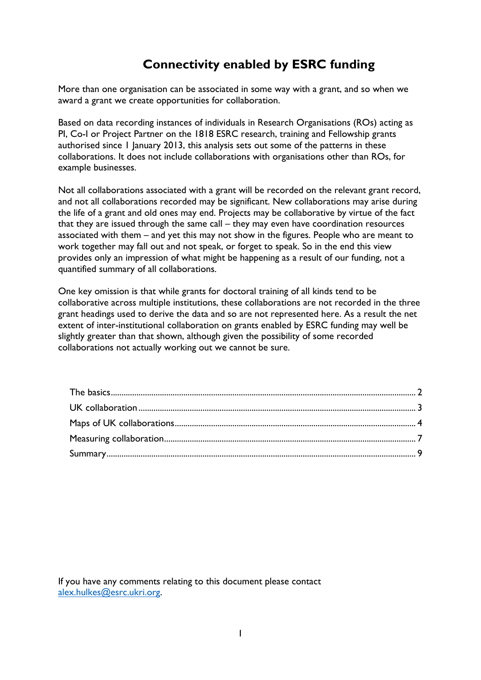# **Connectivity enabled by ESRC funding**

More than one organisation can be associated in some way with a grant, and so when we award a grant we create opportunities for collaboration.

Based on data recording instances of individuals in Research Organisations (ROs) acting as PI, Co-I or Project Partner on the 1818 ESRC research, training and Fellowship grants authorised since 1 January 2013, this analysis sets out some of the patterns in these collaborations. It does not include collaborations with organisations other than ROs, for example businesses.

Not all collaborations associated with a grant will be recorded on the relevant grant record, and not all collaborations recorded may be significant. New collaborations may arise during the life of a grant and old ones may end. Projects may be collaborative by virtue of the fact that they are issued through the same call – they may even have coordination resources associated with them – and yet this may not show in the figures. People who are meant to work together may fall out and not speak, or forget to speak. So in the end this view provides only an impression of what might be happening as a result of our funding, not a quantified summary of all collaborations.

One key omission is that while grants for doctoral training of all kinds tend to be collaborative across multiple institutions, these collaborations are not recorded in the three grant headings used to derive the data and so are not represented here. As a result the net extent of inter-institutional collaboration on grants enabled by ESRC funding may well be slightly greater than that shown, although given the possibility of some recorded collaborations not actually working out we cannot be sure.

If you have any comments relating to this document please contact [alex.hulkes@esrc.ukri.org.](mailto:alex.hulkes@esrc.ukri.org)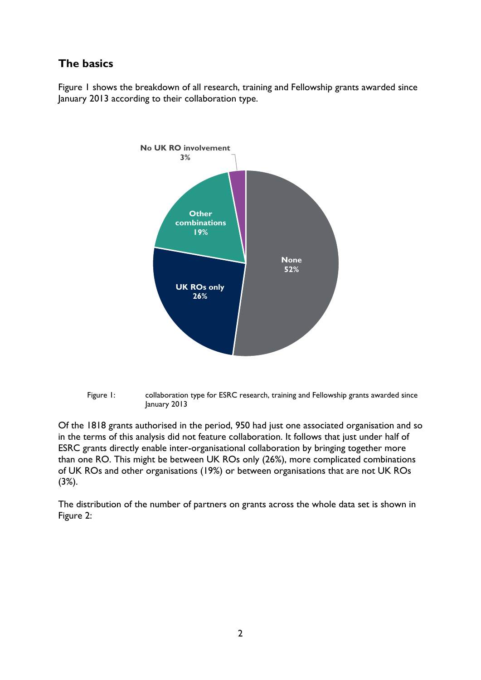## <span id="page-1-0"></span>**The basics**

Figure 1 shows the breakdown of all research, training and Fellowship grants awarded since January 2013 according to their collaboration type.





Of the 1818 grants authorised in the period, 950 had just one associated organisation and so in the terms of this analysis did not feature collaboration. It follows that just under half of ESRC grants directly enable inter-organisational collaboration by bringing together more than one RO. This might be between UK ROs only (26%), more complicated combinations of UK ROs and other organisations (19%) or between organisations that are not UK ROs (3%).

The distribution of the number of partners on grants across the whole data set is shown in Figure 2: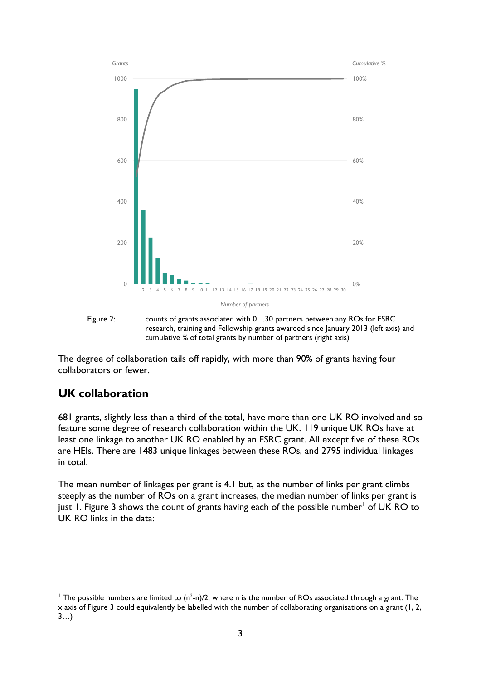

Figure 2: counts of grants associated with 0…30 partners between any ROs for ESRC research, training and Fellowship grants awarded since January 2013 (left axis) and cumulative % of total grants by number of partners (right axis)

The degree of collaboration tails off rapidly, with more than 90% of grants having four collaborators or fewer.

### <span id="page-2-0"></span>**UK collaboration**

681 grants, slightly less than a third of the total, have more than one UK RO involved and so feature some degree of research collaboration within the UK. 119 unique UK ROs have at least one linkage to another UK RO enabled by an ESRC grant. All except five of these ROs are HEIs. There are 1483 unique linkages between these ROs, and 2795 individual linkages in total.

The mean number of linkages per grant is 4.1 but, as the number of links per grant climbs steeply as the number of ROs on a grant increases, the median number of links per grant is just [1](#page-2-1). Figure 3 shows the count of grants having each of the possible number<sup>1</sup> of UK RO to UK RO links in the data:

<span id="page-2-1"></span> <sup>1</sup> The possible numbers are limited to (n2 -n)/2, where n is the number of ROs associated through a grant. The x axis of Figure 3 could equivalently be labelled with the number of collaborating organisations on a grant (1, 2, 3…)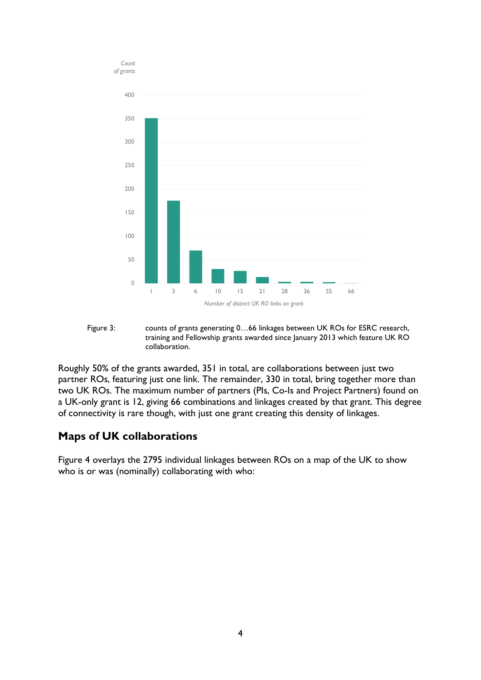

Figure 3: counts of grants generating 0…66 linkages between UK ROs for ESRC research, training and Fellowship grants awarded since January 2013 which feature UK RO collaboration.

Roughly 50% of the grants awarded, 351 in total, are collaborations between just two partner ROs, featuring just one link. The remainder, 330 in total, bring together more than two UK ROs. The maximum number of partners (PIs, Co-Is and Project Partners) found on a UK-only grant is 12, giving 66 combinations and linkages created by that grant. This degree of connectivity is rare though, with just one grant creating this density of linkages.

#### <span id="page-3-0"></span>**Maps of UK collaborations**

Figure 4 overlays the 2795 individual linkages between ROs on a map of the UK to show who is or was (nominally) collaborating with who: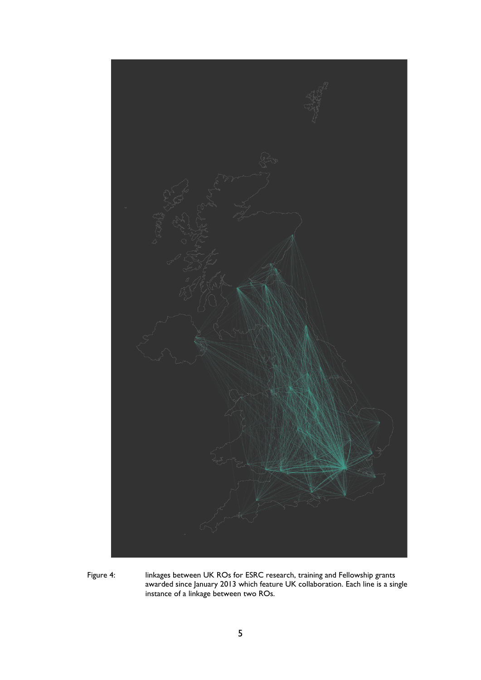

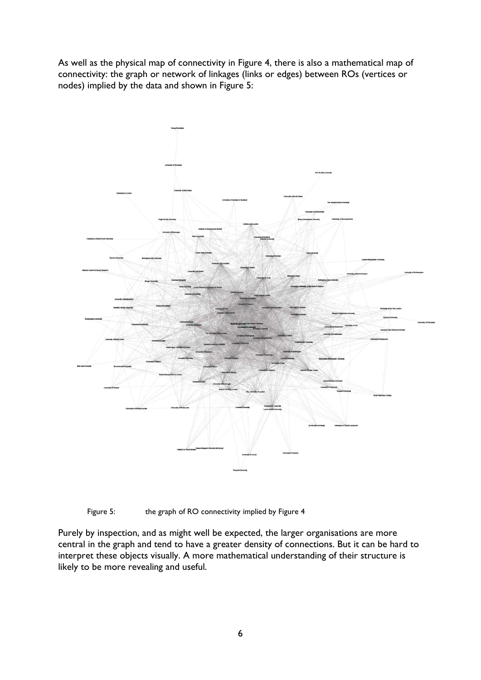As well as the physical map of connectivity in Figure 4, there is also a mathematical map of connectivity: the graph or network of linkages (links or edges) between ROs (vertices or nodes) implied by the data and shown in Figure 5:



Figure 5: the graph of RO connectivity implied by Figure 4

Purely by inspection, and as might well be expected, the larger organisations are more central in the graph and tend to have a greater density of connections. But it can be hard to interpret these objects visually. A more mathematical understanding of their structure is likely to be more revealing and useful.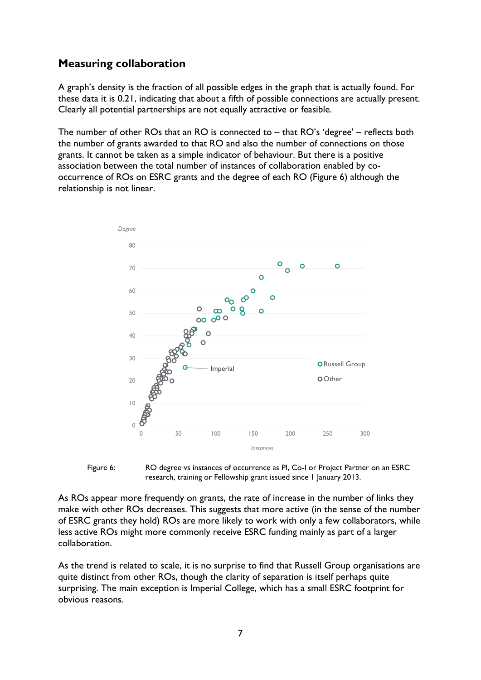### <span id="page-6-0"></span>**Measuring collaboration**

A graph's density is the fraction of all possible edges in the graph that is actually found. For these data it is 0.21, indicating that about a fifth of possible connections are actually present. Clearly all potential partnerships are not equally attractive or feasible.

The number of other ROs that an RO is connected to – that RO's 'degree' – reflects both the number of grants awarded to that RO and also the number of connections on those grants. It cannot be taken as a simple indicator of behaviour. But there is a positive association between the total number of instances of collaboration enabled by cooccurrence of ROs on ESRC grants and the degree of each RO (Figure 6) although the relationship is not linear.



Figure 6: RO degree vs instances of occurrence as PI, Co-I or Project Partner on an ESRC research, training or Fellowship grant issued since 1 January 2013.

As ROs appear more frequently on grants, the rate of increase in the number of links they make with other ROs decreases. This suggests that more active (in the sense of the number of ESRC grants they hold) ROs are more likely to work with only a few collaborators, while less active ROs might more commonly receive ESRC funding mainly as part of a larger collaboration.

As the trend is related to scale, it is no surprise to find that Russell Group organisations are quite distinct from other ROs, though the clarity of separation is itself perhaps quite surprising. The main exception is Imperial College, which has a small ESRC footprint for obvious reasons.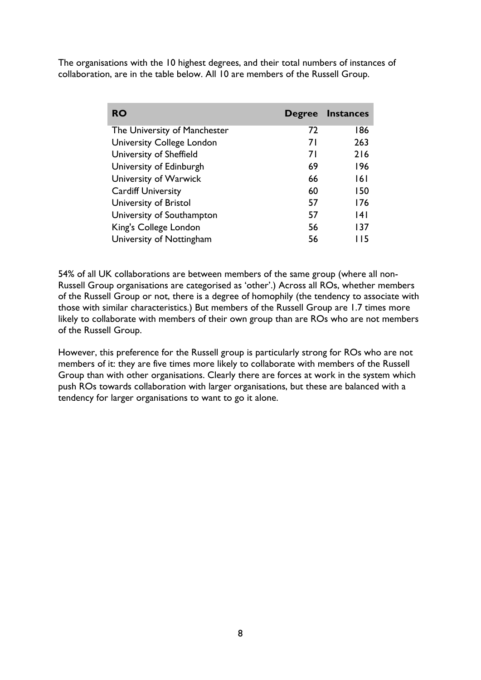The organisations with the 10 highest degrees, and their total numbers of instances of collaboration, are in the table below. All 10 are members of the Russell Group.

| <b>RO</b>                        | <b>Degree</b> | <b>Instances</b> |
|----------------------------------|---------------|------------------|
| The University of Manchester     | 72            | 186              |
| <b>University College London</b> | 7 I           | 263              |
| University of Sheffield          | 71            | 216              |
| University of Edinburgh          | 69            | 196              |
| University of Warwick            | 66            | 161              |
| <b>Cardiff University</b>        | 60            | 150              |
| University of Bristol            | 57            | 176              |
| University of Southampton        | 57            | 14 I             |
| King's College London            | 56            | 137              |
| University of Nottingham         | 56            | l 15             |

54% of all UK collaborations are between members of the same group (where all non-Russell Group organisations are categorised as 'other'.) Across all ROs, whether members of the Russell Group or not, there is a degree of homophily (the tendency to associate with those with similar characteristics.) But members of the Russell Group are 1.7 times more likely to collaborate with members of their own group than are ROs who are not members of the Russell Group.

However, this preference for the Russell group is particularly strong for ROs who are not members of it: they are five times more likely to collaborate with members of the Russell Group than with other organisations. Clearly there are forces at work in the system which push ROs towards collaboration with larger organisations, but these are balanced with a tendency for larger organisations to want to go it alone.